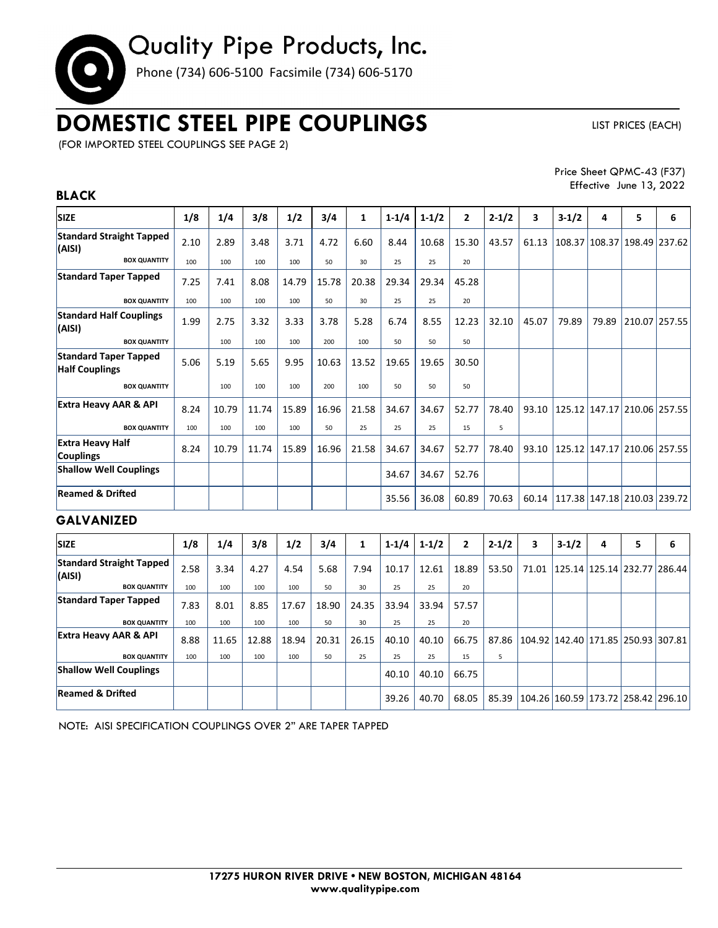# Quality Pipe Products, Inc.

Phone (734) 606-5100 Facsimile (734) 606-5170

# **DOMESTIC STEEL PIPE COUPLINGS**

LIST PRICES (EACH)

(FOR IMPORTED STEEL COUPLINGS SEE PAGE 2)

**BLACK** 

Price Sheet QPMC-43 (F37) Effective June 13, 2022

### **SIZE 1/8 1/4 3/8 1/2 3/4 1 1-1/4 1-1/2 2 2-1/2 3 3-1/2 4 5 6 Standard Straight Tapped (AISI)** 2.10 2.89 3.48 3.71 4.72 6.60 8.44 10.68 15.30 43.57 61.13 108.37 108.37 198.49 237.62 **BOX QUANTITY** | 100 | 100 | 100 | 100 | 50 | 30 | 25 | 25 | 20 **Standard Taper Tapped | 7.25 | 7.41 | 8.08 | 14.79 | 15.78 | 20.38 | 29.34 | 29.34 | 45.28 BOX QUANTITY** 100 100 100 100 50 30 25 25 20 **Standard Half Couplings (AISI)** 1.99  $\begin{pmatrix} 1.99 & 2.75 & 3.32 & 3.33 & 3.78 & 5.28 & 6.74 & 8.55 & 12.23 & 32.10 & 45.07 & 79.89 & 79.89 & 210.07 & 257.55 \end{pmatrix}$ **BOX QUANTITY** | 100 | 100 | 100 | 200 | 100 | 50 | 50 | 50 **Standard Taper Tapped Half Couplings**  $\begin{bmatrix} 5.06 \\ 5.19 \end{bmatrix}$  5.19  $\begin{bmatrix} 5.65 \\ 5.65 \end{bmatrix}$  10.63  $\begin{bmatrix} 13.52 \\ 13.52 \end{bmatrix}$  19.65  $\begin{bmatrix} 19.65 \\ 30.50 \end{bmatrix}$ **BOX QUANTITY** 100 100 100 100 100 100 50 50 50 **Extra Heavy AAR & API** 8.24 10.79 11.74 15.89 16.96 21.58 34.67 34.67 52.77 78.40 93.10 125.12 147.17 210.06 257.55 **BOX QUANTITY** | 100 | 100 | 100 | 100 | 50 | 25 | 25 | 25 | 15 | 5 **Extra Heavy Half Couplings** 8.24 10.79 11.74 15.89 16.96 21.58 34.67 34.67 52.77 78.40 93.10 125.12 147.17 210.06 257.55 **Shallow Well Couplings** | | | | | | | | | | | | 34.67 | 34.67 | 52.76 **Reamed & Dried** 35.56 36.08 60.89 70.63 60.14 117.38 147.18 210.03 239.72 **GALVANIZED SIZE 1/8 1/4 3/8 1/2 3/4 1 1-1/4 1-1/2 2 2-1/2 3 3-1/2 4 5 6**

| <b>SIZE</b>                               | 1/8  | 1/4   | 3/8   | 1/2   | 3/4   | 1     | $1 - 1/4$ | $1 - 1/2$ | $\mathbf{z}$ | $2 - 1/2$ | 3     | $3-1/2$                                    | 4 | 5 | 6                                 |
|-------------------------------------------|------|-------|-------|-------|-------|-------|-----------|-----------|--------------|-----------|-------|--------------------------------------------|---|---|-----------------------------------|
| <b>Standard Straight Tapped</b><br>(AISI) | 2.58 | 3.34  | 4.27  | 4.54  | 5.68  | 7.94  | 10.17     | 12.61     | 18.89        | 53.50     | 71.01 |                                            |   |   | 125.14   125.14   232.77   286.44 |
| <b>BOX QUANTITY</b>                       | 100  | 100   | 100   | 100   | 50    | 30    | 25        | 25        | 20           |           |       |                                            |   |   |                                   |
| <b>Standard Taper Tapped</b>              | 7.83 | 8.01  | 8.85  | 17.67 | 18.90 | 24.35 | 33.94     | 33.94     | 57.57        |           |       |                                            |   |   |                                   |
| <b>BOX QUANTITY</b>                       | 100  | 100   | 100   | 100   | 50    | 30    | 25        | 25        | 20           |           |       |                                            |   |   |                                   |
| <b>Extra Heavy AAR &amp; API</b>          | 8.88 | 11.65 | 12.88 | 18.94 | 20.31 | 26.15 | 40.10     | 40.10     | 66.75        | 87.86     |       | 104.92 142.40 171.85 250.93 307.81         |   |   |                                   |
| <b>BOX QUANTITY</b>                       | 100  | 100   | 100   | 100   | 50    | 25    | 25        | 25        | 15           | 5         |       |                                            |   |   |                                   |
| <b>Shallow Well Couplings</b>             |      |       |       |       |       |       | 40.10     | 40.10     | 66.75        |           |       |                                            |   |   |                                   |
| <b>Reamed &amp; Drifted</b>               |      |       |       |       |       |       | 39.26     | 40.70     | 68.05        | 85.39     |       | 104.26   160.59   173.72   258.42   296.10 |   |   |                                   |

NOTE: AISI SPECIFICATION COUPLINGS OVER 2" ARE TAPER TAPPED